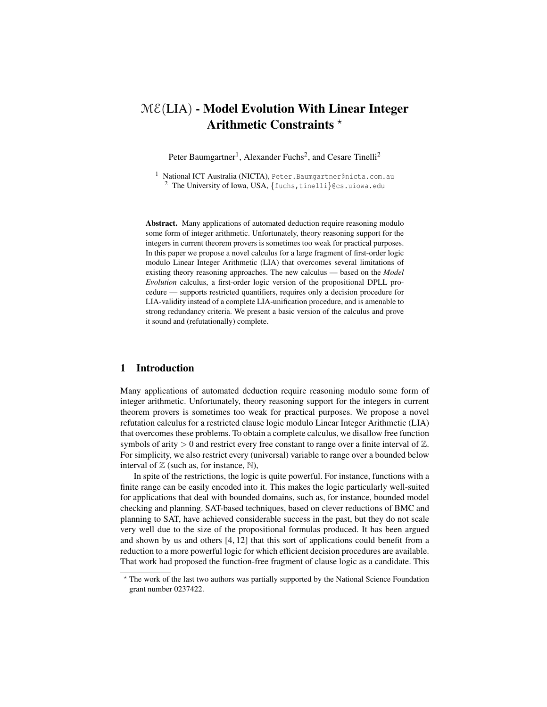# $ME(LIA)$  - Model Evolution With Linear Integer Arithmetic Constraints \*

Peter Baumgartner<sup>1</sup>, Alexander Fuchs<sup>2</sup>, and Cesare Tinelli<sup>2</sup>

1 National ICT Australia (NICTA), Peter. Baumgartner@nicta.com.au <sup>2</sup> The University of Iowa, USA, {fuchs, tinelli}@cs.uiowa.edu

Abstract. Many applications of automated deduction require reasoning modulo some form of integer arithmetic. Unfortunately, theory reasoning support for the integers in current theorem provers is sometimes too weak for practical purposes. In this paper we propose a novel calculus for a large fragment of first-order logic modulo Linear Integer Arithmetic (LIA) that overcomes several limitations of existing theory reasoning approaches. The new calculus — based on the *Model Evolution* calculus, a first-order logic version of the propositional DPLL procedure — supports restricted quantifiers, requires only a decision procedure for LIA-validity instead of a complete LIA-unification procedure, and is amenable to strong redundancy criteria. We present a basic version of the calculus and prove it sound and (refutationally) complete.

# 1 Introduction

Many applications of automated deduction require reasoning modulo some form of integer arithmetic. Unfortunately, theory reasoning support for the integers in current theorem provers is sometimes too weak for practical purposes. We propose a novel refutation calculus for a restricted clause logic modulo Linear Integer Arithmetic (LIA) that overcomes these problems. To obtain a complete calculus, we disallow free function symbols of arity  $> 0$  and restrict every free constant to range over a finite interval of  $\mathbb{Z}$ . For simplicity, we also restrict every (universal) variable to range over a bounded below interval of  $\mathbb Z$  (such as, for instance,  $\mathbb N$ ),

In spite of the restrictions, the logic is quite powerful. For instance, functions with a finite range can be easily encoded into it. This makes the logic particularly well-suited for applications that deal with bounded domains, such as, for instance, bounded model checking and planning. SAT-based techniques, based on clever reductions of BMC and planning to SAT, have achieved considerable success in the past, but they do not scale very well due to the size of the propositional formulas produced. It has been argued and shown by us and others [4, 12] that this sort of applications could benefit from a reduction to a more powerful logic for which efficient decision procedures are available. That work had proposed the function-free fragment of clause logic as a candidate. This

<sup>?</sup> The work of the last two authors was partially supported by the National Science Foundation grant number 0237422.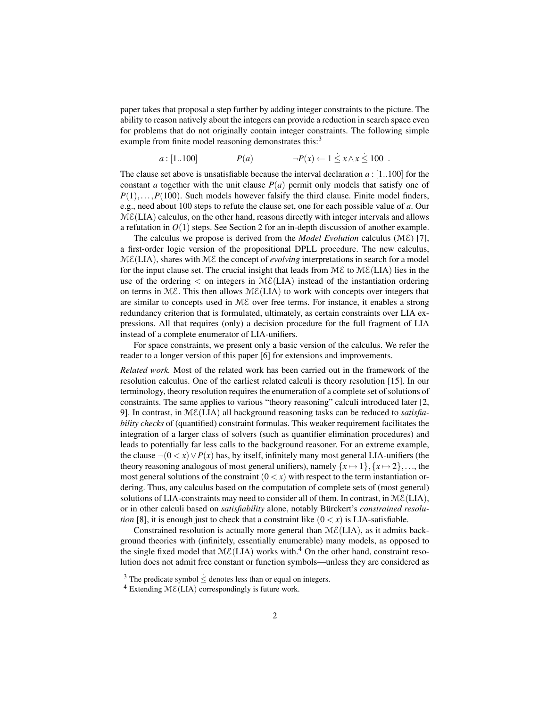paper takes that proposal a step further by adding integer constraints to the picture. The ability to reason natively about the integers can provide a reduction in search space even for problems that do not originally contain integer constraints. The following simple example from finite model reasoning demonstrates this:<sup>3</sup>

$$
a:[1..100] \qquad P(a) \qquad \neg P(x) \leftarrow 1 \leq x \wedge x \leq 100 \ .
$$

The clause set above is unsatisfiable because the interval declaration  $a$ : [1..100] for the constant *a* together with the unit clause  $P(a)$  permit only models that satisfy one of  $P(1), \ldots, P(100)$ . Such models however falsify the third clause. Finite model finders, e.g., need about 100 steps to refute the clause set, one for each possible value of *a*. Our  $ME(LIA)$  calculus, on the other hand, reasons directly with integer intervals and allows a refutation in  $O(1)$  steps. See Section 2 for an in-depth discussion of another example.

The calculus we propose is derived from the *Model Evolution* calculus (ME) [7], a first-order logic version of the propositional DPLL procedure. The new calculus,  $ME(LIA)$ , shares with  $ME$  the concept of *evolving* interpretations in search for a model for the input clause set. The crucial insight that leads from  $M\mathcal{E}$  to  $M\mathcal{E}(LIA)$  lies in the use of the ordering  $\langle$  on integers in ME(LIA) instead of the instantiation ordering on terms in ME. This then allows  $M\mathcal{E}(LIA)$  to work with concepts over integers that are similar to concepts used in  $M\mathcal{E}$  over free terms. For instance, it enables a strong redundancy criterion that is formulated, ultimately, as certain constraints over LIA expressions. All that requires (only) a decision procedure for the full fragment of LIA instead of a complete enumerator of LIA-unifiers.

For space constraints, we present only a basic version of the calculus. We refer the reader to a longer version of this paper [6] for extensions and improvements.

*Related work.* Most of the related work has been carried out in the framework of the resolution calculus. One of the earliest related calculi is theory resolution [15]. In our terminology, theory resolution requires the enumeration of a complete set of solutions of constraints. The same applies to various "theory reasoning" calculi introduced later [2, 9]. In contrast, in ME(LIA) all background reasoning tasks can be reduced to *satisfiability checks* of (quantified) constraint formulas. This weaker requirement facilitates the integration of a larger class of solvers (such as quantifier elimination procedures) and leads to potentially far less calls to the background reasoner. For an extreme example, the clause  $\neg$ (0 < *x*) ∨ *P*(*x*) has, by itself, infinitely many most general LIA-unifiers (the theory reasoning analogous of most general unifiers), namely  $\{x \mapsto 1\}, \{x \mapsto 2\},\ldots$ , the most general solutions of the constraint  $(0 \lt x)$  with respect to the term instantiation ordering. Thus, any calculus based on the computation of complete sets of (most general) solutions of LIA-constraints may need to consider all of them. In contrast, in  $ME(LIA)$ , or in other calculi based on *satisfiability* alone, notably Bürckert's *constrained resolution* [8], it is enough just to check that a constraint like  $(0 \lt x)$  is LIA-satisfiable.

Constrained resolution is actually more general than  $M\mathcal{E}(LIA)$ , as it admits background theories with (infinitely, essentially enumerable) many models, as opposed to the single fixed model that  $M\&L(LIA)$  works with.<sup>4</sup> On the other hand, constraint resolution does not admit free constant or function symbols—unless they are considered as

 $\frac{3}{3}$  The predicate symbol  $\leq$  denotes less than or equal on integers.

<sup>&</sup>lt;sup>4</sup> Extending  $M\mathcal{E}(LIA)$  correspondingly is future work.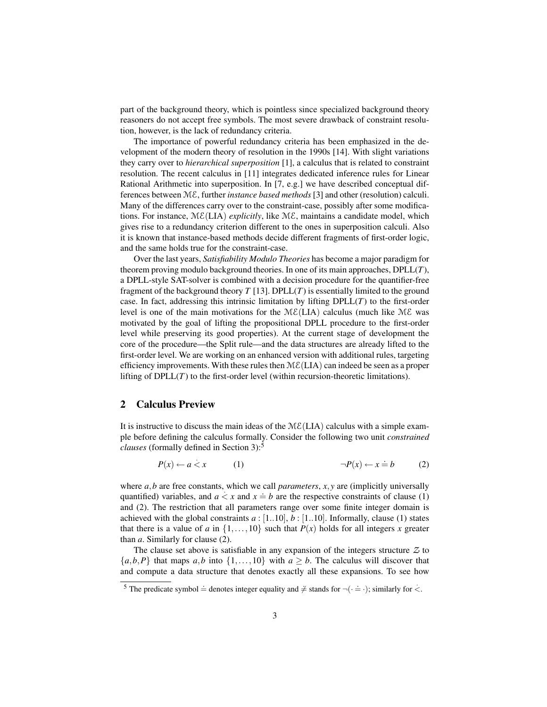part of the background theory, which is pointless since specialized background theory reasoners do not accept free symbols. The most severe drawback of constraint resolution, however, is the lack of redundancy criteria.

The importance of powerful redundancy criteria has been emphasized in the development of the modern theory of resolution in the 1990s [14]. With slight variations they carry over to *hierarchical superposition* [1], a calculus that is related to constraint resolution. The recent calculus in [11] integrates dedicated inference rules for Linear Rational Arithmetic into superposition. In [7, e.g.] we have described conceptual differences between ME, further *instance based methods* [3] and other (resolution) calculi. Many of the differences carry over to the constraint-case, possibly after some modifications. For instance,  $M\mathcal{E}(LIA)$  *explicitly*, like  $M\mathcal{E}$ , maintains a candidate model, which gives rise to a redundancy criterion different to the ones in superposition calculi. Also it is known that instance-based methods decide different fragments of first-order logic, and the same holds true for the constraint-case.

Over the last years, *Satisfiability Modulo Theories* has become a major paradigm for theorem proving modulo background theories. In one of its main approaches, DPLL(*T*), a DPLL-style SAT-solver is combined with a decision procedure for the quantifier-free fragment of the background theory  $T$  [13]. DPLL $(T)$  is essentially limited to the ground case. In fact, addressing this intrinsic limitation by lifting  $DPLL(T)$  to the first-order level is one of the main motivations for the  $M\mathcal{E}(LIA)$  calculus (much like  $M\mathcal{E}$  was motivated by the goal of lifting the propositional DPLL procedure to the first-order level while preserving its good properties). At the current stage of development the core of the procedure—the Split rule—and the data structures are already lifted to the first-order level. We are working on an enhanced version with additional rules, targeting efficiency improvements. With these rules then  $M\mathcal{E}(LIA)$  can indeed be seen as a proper lifting of  $DPLL(T)$  to the first-order level (within recursion-theoretic limitations).

# 2 Calculus Preview

It is instructive to discuss the main ideas of the  $M\mathcal{E}(LIA)$  calculus with a simple example before defining the calculus formally. Consider the following two unit *constrained clauses* (formally defined in Section 3):<sup>5</sup>

$$
P(x) \leftarrow a < x \qquad (1) \qquad \qquad \neg P(x) \leftarrow x \doteq b \qquad (2)
$$

where *a*,*b* are free constants, which we call *parameters*, *x*, *y* are (implicitly universally quantified) variables, and  $a \le x$  and  $x = b$  are the respective constraints of clause (1) and (2). The restriction that all parameters range over some finite integer domain is achieved with the global constraints  $a : [1..10], b : [1..10]$ . Informally, clause (1) states that there is a value of *a* in  $\{1, \ldots, 10\}$  such that  $P(x)$  holds for all integers *x* greater than *a*. Similarly for clause (2).

The clause set above is satisfiable in any expansion of the integers structure *Z* to  ${a,b,P}$  that maps *a*,*b* into  ${1,...,10}$  with  $a > b$ . The calculus will discover that and compute a data structure that denotes exactly all these expansions. To see how

 $\frac{1}{5}$  The predicate symbol  $\dot{=}$  denotes integer equality and  $\dot{\neq}$  stands for  $\neg(\cdot \dot{=} \cdot)$ ; similarly for  $\langle$ .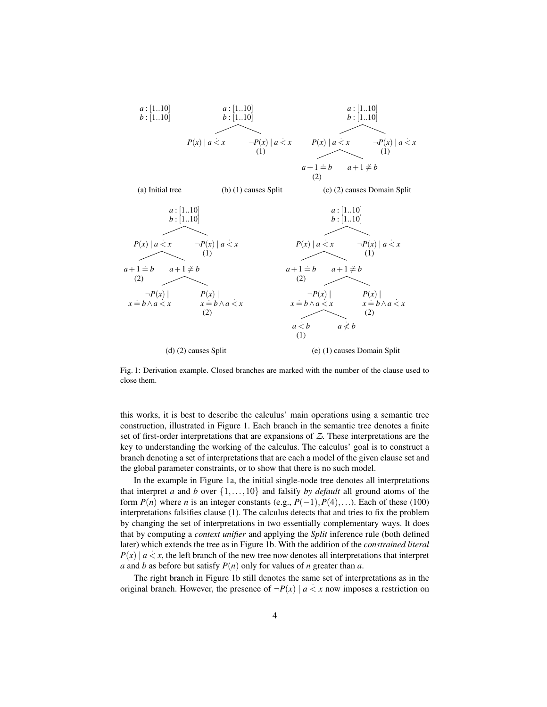

Fig. 1: Derivation example. Closed branches are marked with the number of the clause used to close them.

this works, it is best to describe the calculus' main operations using a semantic tree construction, illustrated in Figure 1. Each branch in the semantic tree denotes a finite set of first-order interpretations that are expansions of *Z*. These interpretations are the key to understanding the working of the calculus. The calculus' goal is to construct a branch denoting a set of interpretations that are each a model of the given clause set and the global parameter constraints, or to show that there is no such model.

In the example in Figure 1a, the initial single-node tree denotes all interpretations that interpret *a* and *b* over  $\{1, \ldots, 10\}$  and falsify *by default* all ground atoms of the form  $P(n)$  where *n* is an integer constants (e.g.,  $P(-1)$ ,  $P(4)$ ,...). Each of these (100) interpretations falsifies clause (1). The calculus detects that and tries to fix the problem by changing the set of interpretations in two essentially complementary ways. It does that by computing a *context unifier* and applying the *Split* inference rule (both defined later) which extends the tree as in Figure 1b. With the addition of the *constrained literal* .  $P(x) | a \lt x$ , the left branch of the new tree now denotes all interpretations that interpret *a* and *b* as before but satisfy  $P(n)$  only for values of *n* greater than *a*.

The right branch in Figure 1b still denotes the same set of interpretations as in the . original branch. However, the presence of  $\neg P(x) \mid a < x$  now imposes a restriction on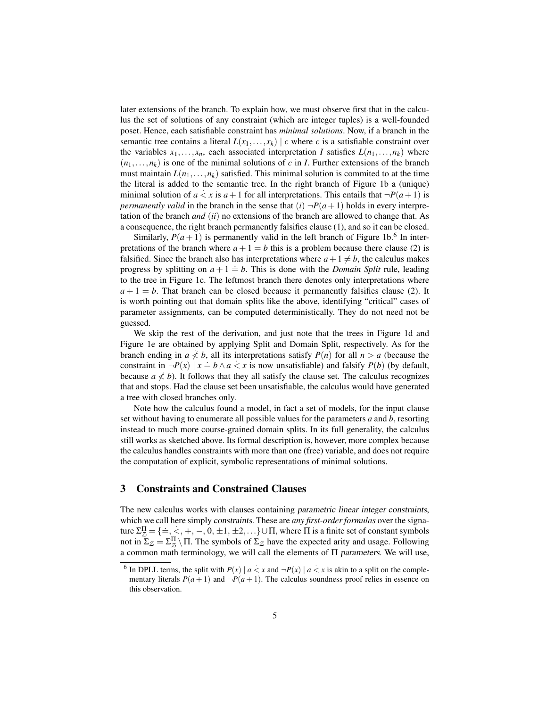later extensions of the branch. To explain how, we must observe first that in the calculus the set of solutions of any constraint (which are integer tuples) is a well-founded poset. Hence, each satisfiable constraint has *minimal solutions*. Now, if a branch in the semantic tree contains a literal  $L(x_1,...,x_k)$  | *c* where *c* is a satisfiable constraint over the variables  $x_1, \ldots, x_n$ , each associated interpretation *I* satisfies  $L(n_1, \ldots, n_k)$  where  $(n_1, \ldots, n_k)$  is one of the minimal solutions of *c* in *I*. Further extensions of the branch must maintain  $L(n_1,...,n_k)$  satisfied. This minimal solution is commited to at the time the literal is added to the semantic tree. In the right branch of Figure 1b a (unique) . minimal solution of  $a \le x$  is  $a+1$  for all interpretations. This entails that  $\neg P(a+1)$  is *permanently valid* in the branch in the sense that  $(i)$   $\neg P(a+1)$  holds in every interpretation of the branch *and* (*ii*) no extensions of the branch are allowed to change that. As a consequence, the right branch permanently falsifies clause (1), and so it can be closed.

Similarly,  $P(a+1)$  is permanently valid in the left branch of Figure 1b.<sup>6</sup> In interpretations of the branch where  $a + 1 = b$  this is a problem because there clause (2) is falsified. Since the branch also has interpretations where  $a+1 \neq b$ , the calculus makes progress by splitting on  $a + 1 \doteq b$ . This is done with the *Domain Split* rule, leading to the tree in Figure 1c. The leftmost branch there denotes only interpretations where  $a+1=b$ . That branch can be closed because it permanently falsifies clause (2). It is worth pointing out that domain splits like the above, identifying "critical" cases of parameter assignments, can be computed deterministically. They do not need not be guessed.

We skip the rest of the derivation, and just note that the trees in Figure 1d and Figure 1e are obtained by applying Split and Domain Split, respectively. As for the branch ending in  $a \nless b$ , all its interpretations satisfy  $P(n)$  for all  $n > a$  (because the constraint in  $\neg P(x) | x = b \land a < x$  is now unsatisfiable) and falsify  $P(b)$  (by default, because  $a \nless b$ ). It follows that they all satisfy the clause set. The calculus recognizes that and stops. Had the clause set been unsatisfiable, the calculus would have generated a tree with closed branches only.

Note how the calculus found a model, in fact a set of models, for the input clause set without having to enumerate all possible values for the parameters *a* and *b*, resorting instead to much more course-grained domain splits. In its full generality, the calculus still works as sketched above. Its formal description is, however, more complex because the calculus handles constraints with more than one (free) variable, and does not require the computation of explicit, symbolic representations of minimal solutions.

## 3 Constraints and Constrained Clauses

The new calculus works with clauses containing parametric linear integer constraints, which we call here simply constraints. These are *any first-order formulas* over the signature  $\Sigma_{\mathcal{Z}}^{\Pi} = \{\equiv, \langle \cdot, +, -, 0, \pm 1, \pm 2, ...\} \cup \Pi$ , where  $\Pi$  is a finite set of constant symbols not in  $\Sigma_z = \Sigma_z^{\Pi} \setminus \Pi$ . The symbols of  $\Sigma_z$  have the expected arity and usage. Following a common math terminology, we will call the elements of  $\Pi$  parameters. We will use,

 $\overline{6}$  In DPLL terms, the split with  $P(x) | a < x$  and  $\neg P(x) | a < x$  is akin to a split on the complementary literals  $P(a+1)$  and  $\neg P(a+1)$ . The calculus soundness proof relies in essence on this observation.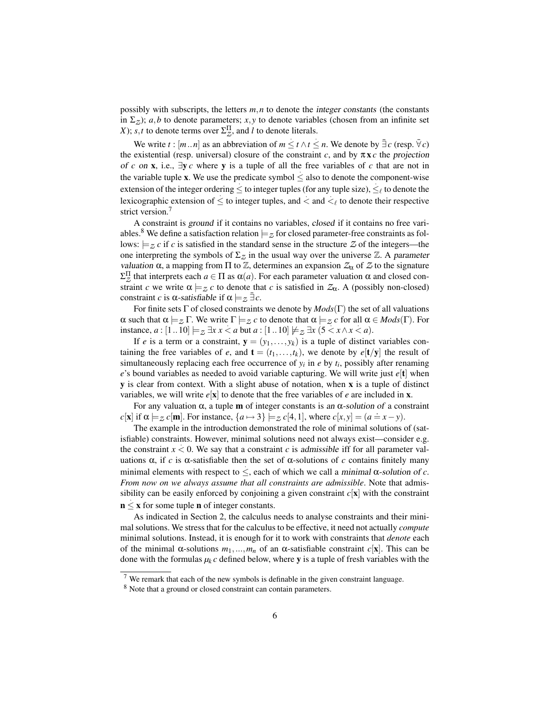possibly with subscripts, the letters *m*,*n* to denote the integer constants (the constants in  $\Sigma_z$ ); *a*,*b* to denote parameters; *x*, *y* to denote variables (chosen from an infinite set *X*); *s*,*t* to denote terms over  $\Sigma_{Z}^{\Pi}$ , and *l* to denote literals.

We write *t* :  $[m..n]$  as an abbreviation of  $m \le t \wedge t \le n$ . We denote by  $\exists c$  (resp.  $\forall c$ ) the existential (resp. universal) closure of the constraint *c*, and by  $\pi x c$  the projection of *c* on **x**, i.e.,  $\exists y \ c$  where **y** is a tuple of all the free variables of *c* that are not in the variable tuple **x**. We use the predicate symbol  $\leq$  also to denote the component-wise extension of the integer ordering  $\leq$  to integer tuples (for any tuple size),  $\leq_\ell$  to denote the lexicographic extension of  $\leq$  to integer tuples, and  $\lt$  and  $\lt$  to denote their respective strict version.<sup>7</sup>

A constraint is ground if it contains no variables, closed if it contains no free variables.<sup>8</sup> We define a satisfaction relation  $\models$  z for closed parameter-free constraints as follows:  $\models$ <sub>Z</sub> *c* if *c* is satisfied in the standard sense in the structure Z of the integers—the one interpreting the symbols of  $\Sigma_z$  in the usual way over the universe  $\mathbb Z$ . A parameter valuation α, a mapping from Π to  $\mathbb{Z}$ , determines an expansion  $\mathcal{Z}_\alpha$  of  $\mathbb{Z}$  to the signature  $Σ_Z^{\Pi}$  that interprets each *a* ∈ Π as α(*a*). For each parameter valuation α and closed constraint *c* we write  $\alpha \models z$  *c* to denote that *c* is satisfied in  $Z_{\alpha}$ . A (possibly non-closed) constraint *c* is  $\alpha$ -satisfiable if  $\alpha \models_z \exists c$ .

For finite sets Γ of closed constraints we denote by *Mods*(Γ) the set of all valuations  $\alpha$  such that  $\alpha \models_z \Gamma$ . We write  $\Gamma \models_z c$  to denote that  $\alpha \models_z c$  for all  $\alpha \in Mod_s(\Gamma)$ . For instance, *a* : [1 . 10]  $\models$   $\exists$   $x$  *x* < *a* but *a* : [1 . 10]  $\not\models$   $\exists$   $x$  (5 < *x* ∧ *x* < *a*).

If *e* is a term or a constraint,  $y = (y_1, \ldots, y_k)$  is a tuple of distinct variables containing the free variables of *e*, and  $\mathbf{t} = (t_1, \ldots, t_k)$ , we denote by  $e[\mathbf{t}/\mathbf{y}]$  the result of simultaneously replacing each free occurrence of  $y_i$  in  $e$  by  $t_i$ , possibly after renaming *e*'s bound variables as needed to avoid variable capturing. We will write just *e*[t] when y is clear from context. With a slight abuse of notation, when x is a tuple of distinct variables, we will write  $e[X]$  to denote that the free variables of *e* are included in **x**.

For any valuation  $\alpha$ , a tuple **m** of integer constants is an  $\alpha$ -solution of a constraint *c*[**x**] if  $\alpha \models z c$ [**m**]. For instance,  $\{a \mapsto 3\} \models z c$ [4,1], where  $c[x, y] = (a = x - y)$ .

The example in the introduction demonstrated the role of minimal solutions of (satisfiable) constraints. However, minimal solutions need not always exist—consider e.g. . the constraint  $x < 0$ . We say that a constraint *c* is admissible iff for all parameter valuations  $\alpha$ , if *c* is  $\alpha$ -satisfiable then the set of  $\alpha$ -solutions of *c* contains finitely many minimal elements with respect to  $\leq$ , each of which we call a minimal  $\alpha$ -solution of *c*. *From now on we always assume that all constraints are admissible*. Note that admissibility can be easily enforced by conjoining a given constraint  $c[x]$  with the constraint  $n \leq x$  for some tuple **n** of integer constants.

As indicated in Section 2, the calculus needs to analyse constraints and their minimal solutions. We stress that for the calculus to be effective, it need not actually *compute* minimal solutions. Instead, it is enough for it to work with constraints that *denote* each of the minimal α-solutions  $m_1,...,m_n$  of an α-satisfiable constraint  $c[x]$ . This can be done with the formulas  $\mu_k c$  defined below, where y is a tuple of fresh variables with the

<sup>7</sup> We remark that each of the new symbols is definable in the given constraint language.

<sup>8</sup> Note that a ground or closed constraint can contain parameters.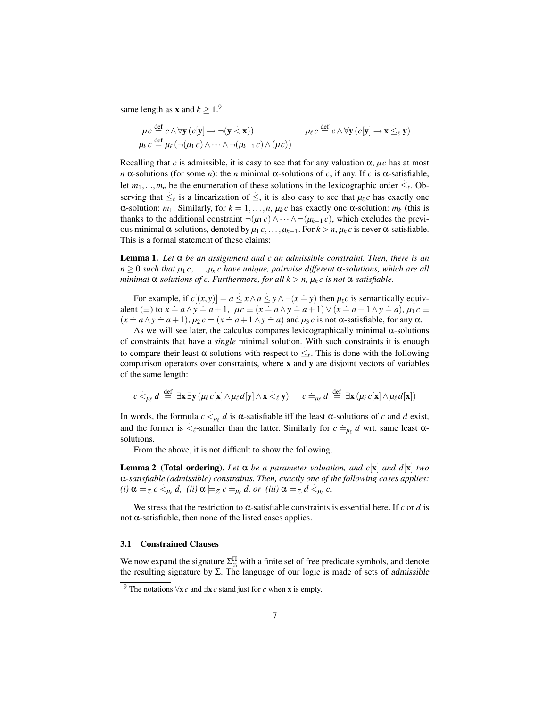same length as **x** and  $k \geq 1$ .<sup>9</sup>

$$
\mu c \stackrel{\text{def}}{=} c \land \forall \mathbf{y} \left( c[\mathbf{y}] \to \neg (\mathbf{y} < \mathbf{x}) \right) \qquad \qquad \mu_{\ell} c \stackrel{\text{def}}{=} c \land \forall \mathbf{y} \left( c[\mathbf{y}] \to \mathbf{x} \leq_{\ell} \mathbf{y} \right)
$$
\n
$$
\mu_{k} c \stackrel{\text{def}}{=} \mu_{\ell} \left( \neg (\mu_{1} c) \land \dots \land \neg (\mu_{k-1} c) \land (\mu_{\ell}) \right)
$$

Recalling that *c* is admissible, it is easy to see that for any valuation  $\alpha$ ,  $\mu c$  has at most *n* α-solutions (for some *n*): the *n* minimal α-solutions of *c*, if any. If *c* is α-satisfiable, Let  $m_1, ..., m_n$  be the enumeration of these solutions in the lexicographic order  $\leq_{\ell}$ . Observing that  $\leq_\ell$  is a linearization of  $\leq$ , it is also easy to see that  $\mu_\ell c$  has exactly one α-solution: *m*<sub>1</sub>. Similarly, for  $k = 1, ..., n$ ,  $\mu_k c$  has exactly one α-solution: *m<sub>k</sub>* (this is thanks to the additional constraint  $\neg(\mu_1 c) \wedge \cdots \wedge \neg(\mu_{k-1} c)$ , which excludes the previous minimal α-solutions, denoted by  $μ_1 c$ , ...,  $μ_{k-1}$ . For  $k > n$ ,  $μ_k c$  is never α-satisfiable. This is a formal statement of these claims:

Lemma 1. *Let* α *be an assignment and c an admissible constraint. Then, there is an n* ≥ 0 *such that µ*<sup>1</sup> *c*,...,*µ<sup>n</sup> c have unique, pairwise different* α*-solutions, which are all minimal*  $\alpha$ *-solutions of c. Furthermore, for all*  $k > n$ ,  $\mu_k c$  *is not*  $\alpha$ *-satisfiable.* 

For example, if  $c[(x, y)] = a \le x \wedge a \le y \wedge \neg(x = y)$  then  $\mu_{\ell}c$  is semantically equivalent (≡) to  $x = a \land y = a + 1$ ,  $\mu c \equiv (x = a \land y = a + 1) \lor (x = a + 1 \land y = a)$ ,  $\mu_1 c \equiv$  $(x = a \land y = a + 1), \mu_2 c = (x = a + 1 \land y = a)$  and  $\mu_3 c$  is not  $\alpha$ -satisfiable, for any  $\alpha$ .

As we will see later, the calculus compares lexicographically minimal  $\alpha$ -solutions of constraints that have a *single* minimal solution. With such constraints it is enough to compare their least α-solutions with respect to  $\leq_\ell$ . This is done with the following comparison operators over constraints, where x and y are disjoint vectors of variables of the same length:

$$
c <_{\mu_{\ell}} d \stackrel{\text{def}}{=} \exists {\mathbf{x}} \exists {\mathbf{y}} \, (\mu_{\ell} c[{\mathbf{x}}] \wedge \mu_{\ell} d[{\mathbf{y}}] \wedge {\mathbf{x}} <_{\ell} {\mathbf{y}}) \qquad c \doteq \mu_{\ell} d \stackrel{\text{def}}{=} \exists {\mathbf{x}} \, (\mu_{\ell} c[{\mathbf{x}}] \wedge \mu_{\ell} d[{\mathbf{x}}])
$$

In words, the formula  $c \lt_{\mu_\ell} d$  is  $\alpha$ -satisfiable iff the least  $\alpha$ -solutions of *c* and *d* exist, and the former is  $\langle e^{\text{t}} \rangle$  and  $\alpha$  and  $\alpha$  and  $\alpha$  and  $\alpha$  and  $\alpha$  and  $\alpha$  and  $\alpha$  and  $\alpha$  and  $\alpha$  and  $\alpha$  and  $\alpha$  and  $\alpha$  and  $\alpha$  and  $\alpha$  and  $\alpha$  and  $\alpha$  and  $\alpha$  and  $\alpha$  and  $\alpha$  and  $\alpha$  and  $\alpha$  solutions.

From the above, it is not difficult to show the following.

**Lemma 2 (Total ordering).** Let  $\alpha$  be a parameter valuation, and c[x] and d[x] two α*-satisfiable (admissible) constraints. Then, exactly one of the following cases applies:* . .  $(i)$   $\alpha \models z$   $c \leq_{\mu_{\ell}} d$ ,  $(ii)$   $\alpha \models z$   $c =_{\mu_{\ell}} d$ , or  $(iii)$   $\alpha \models z$   $d \leq_{\mu_{\ell}} c$ .

We stress that the restriction to  $\alpha$ -satisfiable constraints is essential here. If *c* or *d* is not  $\alpha$ -satisfiable, then none of the listed cases applies.

### 3.1 Constrained Clauses

We now expand the signature  $\Sigma^{\Pi}_{Z}$  with a finite set of free predicate symbols, and denote the resulting signature by  $\Sigma$ . The language of our logic is made of sets of admissible

<sup>&</sup>lt;sup>9</sup> The notations  $\forall x c$  and  $\exists x c$  stand just for *c* when x is empty.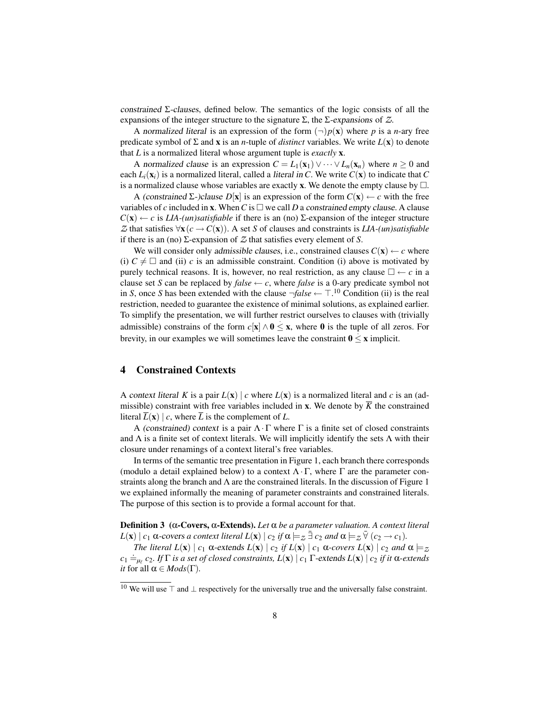constrained  $\Sigma$ -clauses, defined below. The semantics of the logic consists of all the expansions of the integer structure to the signature  $\Sigma$ , the  $\Sigma$ -expansions of  $\mathcal{Z}$ .

A normalized literal is an expression of the form  $(\neg)p(x)$  where p is a *n*-ary free predicate symbol of Σ and x is an *n*-tuple of *distinct* variables. We write *L*(x) to denote that *L* is a normalized literal whose argument tuple is *exactly* x.

A normalized clause is an expression  $C = L_1(\mathbf{x}_1) \vee \cdots \vee L_n(\mathbf{x}_n)$  where  $n \geq 0$  and each  $L_i(\mathbf{x}_i)$  is a normalized literal, called a *literal in C*. We write  $C(\mathbf{x})$  to indicate that *C* is a normalized clause whose variables are exactly **x**. We denote the empty clause by  $\Box$ .

A (constrained  $\Sigma$ -)clause  $D[x]$  is an expression of the form  $C(x) \leftarrow c$  with the free variables of *c* included in **x**. When *C* is  $\Box$  we call *D* a constrained empty clause. A clause  $C(\mathbf{x}) \leftarrow c$  is *LIA-(un)satisfiable* if there is an (no) Σ-expansion of the integer structure *Z* that satisfies  $\forall$ **x**( $c$  →  $C$ (**x**)). A set *S* of clauses and constraints is *LIA-(un)satisfiable* if there is an (no) Σ-expansion of *Z* that satisfies every element of *S*.

We will consider only *admissible clauses*, i.e., constrained clauses  $C(\mathbf{x}) \leftarrow c$  where (i)  $C \neq \Box$  and (ii) *c* is an admissible constraint. Condition (i) above is motivated by purely technical reasons. It is, however, no real restriction, as any clause  $\Box \leftarrow c$  in a clause set *S* can be replaced by *false*  $\leftarrow c$ , where *false* is a 0-ary predicate symbol not in *S*, once *S* has been extended with the clause  $\neg false \leftarrow \top$ .<sup>10</sup> Condition (ii) is the real restriction, needed to guarantee the existence of minimal solutions, as explained earlier. To simplify the presentation, we will further restrict ourselves to clauses with (trivially admissible) constrains of the form  $c[x] \wedge 0 \le x$ , where 0 is the tuple of all zeros. For brevity, in our examples we will sometimes leave the constraint  $0 \le x$  implicit.

## 4 Constrained Contexts

A context literal *K* is a pair  $L(x) \mid c$  where  $L(x)$  is a normalized literal and *c* is an (admissible) constraint with free variables included in **x**. We denote by  $\overline{K}$  the constrained literal  $\overline{L}(\mathbf{x}) \mid c$ , where  $\overline{L}$  is the complement of  $L$ .

A (constrained) context is a pair  $\Lambda \cdot \Gamma$  where  $\Gamma$  is a finite set of closed constraints and  $\Lambda$  is a finite set of context literals. We will implicitly identify the sets  $\Lambda$  with their closure under renamings of a context literal's free variables.

In terms of the semantic tree presentation in Figure 1, each branch there corresponds (modulo a detail explained below) to a context  $\Lambda \cdot \Gamma$ , where  $\Gamma$  are the parameter constraints along the branch and  $\Lambda$  are the constrained literals. In the discussion of Figure 1 we explained informally the meaning of parameter constraints and constrained literals. The purpose of this section is to provide a formal account for that.

Definition 3 (α-Covers, α-Extends). *Let* α *be a parameter valuation. A context literal*  $L(\mathbf{x}) \mid c_1 \alpha$ -covers *a context literal*  $L(\mathbf{x}) \mid c_2$  *if*  $\alpha \models_z \exists c_2$  *and*  $\alpha \models_z \forall (c_2 \rightarrow c_1)$ *.* 

*The literal*  $L(\mathbf{x}) \mid c_1 \alpha$ -extends  $L(\mathbf{x}) \mid c_2$  *if*  $L(\mathbf{x}) \mid c_1 \alpha$ -covers  $L(\mathbf{x}) \mid c_2$  *and*  $\alpha \models z$  $c_1 \doteq_{\mu_\ell} c_2$ . If  $\Gamma$  *is a set of closed constraints, L*(x) | *c*<sub>1</sub>  $\Gamma$ -extends *L*(x) | *c*<sub>2</sub> *if it*  $\alpha$ -extends *it* for all  $\alpha \in Mod(s(\Gamma))$ .

<sup>&</sup>lt;sup>10</sup> We will use  $\top$  and  $\bot$  respectively for the universally true and the universally false constraint.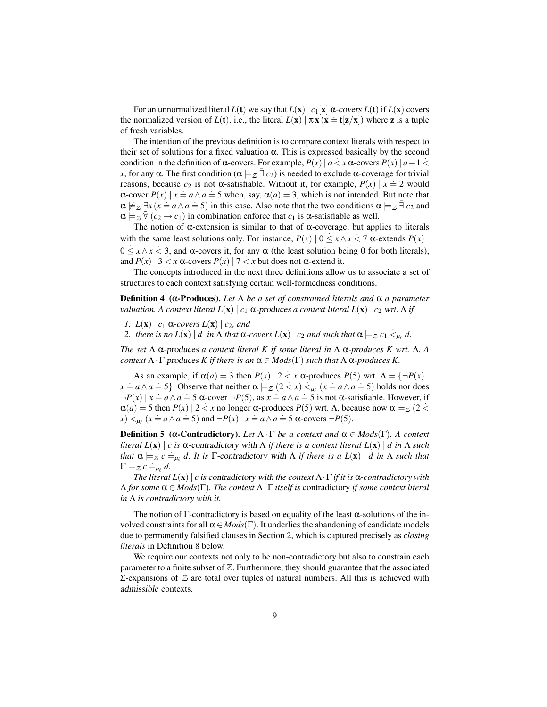For an unnormalized literal *L*(t) we say that *L*(x)  $|c_1(x)| \propto c$  *covers L*(t) if *L*(x) covers the normalized version of  $L(t)$ , i.e., the literal  $L(x) | \pi x (x = t[z/x])$  where z is a tuple of fresh variables.

The intention of the previous definition is to compare context literals with respect to their set of solutions for a fixed valuation  $\alpha$ . This is expressed basically by the second condition in the definition of  $\alpha$ -covers. For example,  $P(x) | a < x \alpha$ -covers  $P(x) | a+1 <$ . *x*, for any  $\alpha$ . The first condition ( $\alpha \models z \exists c_2$ ) is needed to exclude  $\alpha$ -coverage for trivial reasons, because  $c_2$  is not  $\alpha$ -satisfiable. Without it, for example,  $P(x) | x \doteq 2$  would  $\alpha$ -cover  $P(x) | x = a \land a = 5$  when, say,  $\alpha(a) = 3$ , which is not intended. But note that  $\alpha \not\models z \exists x (x = a \land a = 5)$  in this case. Also note that the two conditions  $\alpha \not\models z \exists c_2$  and  $\alpha \models_z \overline{\forall}$  ( $c_2 \rightarrow c_1$ ) in combination enforce that  $c_1$  is  $\alpha$ -satisfiable as well.

The notion of  $\alpha$ -extension is similar to that of  $\alpha$ -coverage, but applies to literals with the same least solutions only. For instance,  $P(x) | 0 \le x \land x < 7$   $\alpha$ -extends  $P(x)$  $0 \le x \wedge x < 3$ , and  $\alpha$ -covers it, for any  $\alpha$  (the least solution being 0 for both literals), and  $P(x) | 3 < x$   $\alpha$ -covers  $P(x) | 7 < x$  but does not  $\alpha$ -extend it.

The concepts introduced in the next three definitions allow us to associate a set of structures to each context satisfying certain well-formedness conditions.

Definition 4 (α-Produces). *Let* Λ *be a set of constrained literals and* α *a parameter valuation.* A context literal  $L(\mathbf{x}) \mid c_1 \alpha$ -produces a context literal  $L(\mathbf{x}) \mid c_2$  wrt.  $\Lambda$  *if* 

- *1.*  $L(\mathbf{x}) \mid c_1 \alpha$ -covers  $L(\mathbf{x}) \mid c_2$ , and
- 2. *there is no*  $\overline{L}(\mathbf{x}) \mid d$  *in*  $\Lambda$  *that*  $\alpha$ -covers  $\overline{L}(\mathbf{x}) \mid c_2$  *and such that*  $\alpha \models z c_1 \leq_{\mu_\ell} d$ .

*The set* Λ α-produces *a context literal K if some literal in* Λ α*-produces K wrt.* Λ*. A context*  $\Lambda \cdot \Gamma$  produces *K* if there is an  $\alpha \in Mod(s(\Gamma))$  such that  $\Lambda \alpha$ -produces *K*.

As an example, if  $\alpha(a) = 3$  then  $P(x) | 2 < x \alpha$ -produces  $P(5)$  wrt.  $\Lambda = \{\neg P(x) |$  $x = a \land a = 5$ . Observe that neither  $\alpha \models z (2 < x) <_{\mu} (x = a \land a = 5)$  holds nor does  $\neg P(x) \mid x = a \land a = 5$   $\alpha$ -cover  $\neg P(5)$ , as  $x = a \land a = 5$  is not  $\alpha$ -satisfiable. However, if  $\alpha(a) = 5$  then  $P(x) | 2 < x$  no longer  $\alpha$ -produces  $P(5)$  wrt.  $\Lambda$ , because now  $\alpha \models_{\mathcal{Z}} (2 < \alpha)$  $f(x) = 3$  and  $f(x) = 2 \times x$  ho longer  $\infty$  produces  $f(y)$  with  $f(x) = 2$ .

**Definition 5** (α-Contradictory). Let  $Λ \cdot Γ$  be a context and  $α \in Mods(Γ)$ . A context *literal*  $L(\mathbf{x}) | c$  *is* α-contradictory with  $\Lambda$  *if there is a context literal*  $L(\mathbf{x}) | d$  *in*  $\Lambda$  *such that*  $\alpha \models z \ c \doteq_{\mu_{\ell}} d$ . It is  $\Gamma$ -contradictory with  $\Lambda$  *if there is a*  $\overline{L}(\mathbf{x}) \mid d$  *in*  $\Lambda$  *such that*  $\Gamma \models z \ c \doteq_{\mu_{\ell}} d.$ 

*The literal L*(x)| *c is* contradictory with *the context* Λ·Γ *if it is* α*-contradictory with* Λ *for some* α ∈ *Mods*(Γ)*. The context* Λ·Γ *itself is* contradictory *if some context literal in* Λ *is contradictory with it.*

The notion of  $\Gamma$ -contradictory is based on equality of the least  $\alpha$ -solutions of the involved constraints for all  $\alpha \in Mod(s(\Gamma)$ . It underlies the abandoning of candidate models due to permanently falsified clauses in Section 2, which is captured precisely as *closing literals* in Definition 8 below.

We require our contexts not only to be non-contradictory but also to constrain each parameter to a finite subset of  $\mathbb{Z}$ . Furthermore, they should guarantee that the associated Σ-expansions of *Z* are total over tuples of natural numbers. All this is achieved with admissible contexts.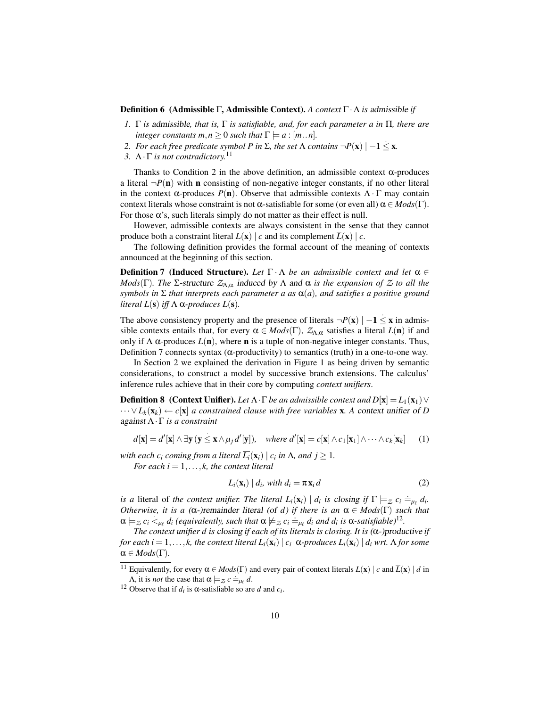#### Definition 6 (Admissible Γ, Admissible Context). *A context* Γ·Λ *is* admissible *if*

- *1.* Γ *is* admissible*, that is,* Γ *is satisfiable, and, for each parameter a in* Π*, there are integer constants*  $m, n \geq 0$  *such that*  $\Gamma \models a : [m..n]$ *.*
- *2. For each free predicate symbol P in*  $\Sigma$ *, the set*  $\Lambda$  *contains*  $\neg P(\mathbf{x}) \mid -1 \leq \mathbf{x}$ .
- *3.* Λ·Γ *is not contradictory.*<sup>11</sup>

Thanks to Condition 2 in the above definition, an admissible context  $\alpha$ -produces a literal  $\neg P(\mathbf{n})$  with **n** consisting of non-negative integer constants, if no other literal in the context  $\alpha$ -produces  $P(n)$ . Observe that admissible contexts  $\Lambda \cdot \Gamma$  may contain context literals whose constraint is not  $\alpha$ -satisfiable for some (or even all)  $\alpha \in Mod(s(\Gamma))$ . For those  $\alpha$ 's, such literals simply do not matter as their effect is null.

However, admissible contexts are always consistent in the sense that they cannot produce both a constraint literal  $L(\mathbf{x}) \mid c$  and its complement  $\overline{L}(\mathbf{x}) \mid c$ .

The following definition provides the formal account of the meaning of contexts announced at the beginning of this section.

**Definition 7 (Induced Structure).** Let  $\Gamma \cdot \Lambda$  be an admissible context and let  $\alpha \in \mathbb{R}$ *Mods*(Γ)*. The* Σ-structure  $Z_{Λ,α}$  induced by Λ and α *is the expansion of*  $Z$  *to all the symbols in* Σ *that interprets each parameter a as* α(*a*)*, and satisfies a positive ground literal*  $L(s)$  *iff*  $\Lambda$   $\alpha$ -produces  $L(s)$ .

The above consistency property and the presence of literals  $\neg P(\mathbf{x}) \mid -1 \leq \mathbf{x}$  in admissible contexts entails that, for every  $\alpha \in Mod(s(\Gamma), Z_{\Lambda,\alpha}$  satisfies a literal  $L(\mathbf{n})$  if and only if  $\Lambda$   $\alpha$ -produces  $L(n)$ , where **n** is a tuple of non-negative integer constants. Thus, Definition 7 connects syntax (α-productivity) to semantics (truth) in a one-to-one way.

In Section 2 we explained the derivation in Figure 1 as being driven by semantic considerations, to construct a model by successive branch extensions. The calculus' inference rules achieve that in their core by computing *context unifiers*.

**Definition 8** (Context Unifier). Let  $\Lambda \cdot \Gamma$  be an admissible context and  $D[\mathbf{x}] = L_1(\mathbf{x}_1) \vee$  $\cdots \vee L_k(\mathbf{x}_k) \leftarrow c[\mathbf{x}]$  *a constrained clause with free variables* **x**. A context unifier of *D* against Λ·Γ *is a constraint*

$$
d[\mathbf{x}] = d'[\mathbf{x}] \wedge \exists \mathbf{y} (\mathbf{y} \le \mathbf{x} \wedge \mu_j d'[\mathbf{y}]), \quad \text{where } d'[\mathbf{x}] = c[\mathbf{x}] \wedge c_1[\mathbf{x}_1] \wedge \cdots \wedge c_k[\mathbf{x}_k] \tag{1}
$$

*with each*  $c_i$  *coming from a literal*  $\overline{L_i}(\mathbf{x}_i) \mid c_i$  *in*  $\Lambda$ *, and*  $j \geq 1$ *.* 

*For each*  $i = 1, \ldots, k$ *, the context literal* 

$$
L_i(\mathbf{x}_i) | d_i, with d_i = \pi \mathbf{x}_i d \tag{2}
$$

*is a* literal of *the context unifier. The literal*  $L_i(\mathbf{x}_i) \mid d_i$  *is closing if*  $\Gamma \models z$   $c_i \doteq_{\mu_\ell} d_i$ . *Otherwise, it is a* ( $\alpha$ -)remainder literal (of *d*) *if there is an*  $\alpha \in Mod_S(\Gamma)$  *such that*  $\alpha \models z \ c_i \leq_{\mu_\ell} d_i$  (equivalently, such that  $\alpha \not\models z \ c_i \doteq_{\mu_\ell} d_i$  and  $d_i$  is  $\alpha$ -satisfiable)<sup>12</sup>.

*The context unifier d is* closing *if each of its literals is closing. It is* (α-)productive *if for each i* = 1,..., *k, the context literal Li*(x*i*) | *c<sup>i</sup>* α*-produces Li*(x*i*) | *d<sup>i</sup> wrt.* Λ *for some*  $\alpha \in Mod(s(\Gamma)).$ 

<sup>&</sup>lt;sup>11</sup> Equivalently, for every  $\alpha \in Mods(\Gamma)$  and every pair of context literals  $L(\mathbf{x}) \mid c$  and  $\overline{L}(\mathbf{x}) \mid d$  in  $A$ , it is *not* the case that  $α \models z c \models_{\mu_{\ell}} d$ .

<sup>&</sup>lt;sup>12</sup> Observe that if  $d_i$  is  $\alpha$ -satisfiable so are  $d$  and  $c_i$ .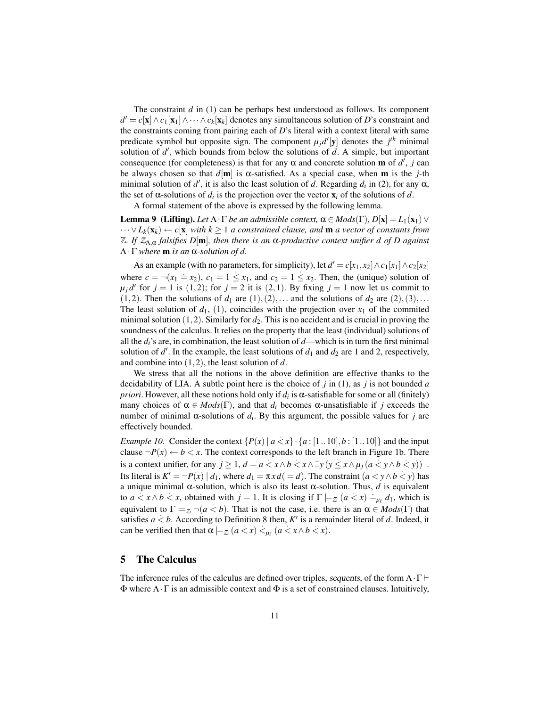The constraint *d* in (1) can be perhaps best understood as follows. Its component  $d' = c[\mathbf{x}] \wedge c_1[\mathbf{x}_1] \wedge \cdots \wedge c_k[\mathbf{x}_k]$  denotes any simultaneous solution of *D*'s constraint and the constraints coming from pairing each of *D*'s literal with a context literal with same predicate symbol but opposite sign. The component  $\mu_j d'[\mathbf{y}]$  denotes the  $j<sup>th</sup>$  minimal solution of  $d'$ , which bounds from below the solutions of  $d$ . A simple, but important consequence (for completeness) is that for any  $\alpha$  and concrete solution **m** of  $d'$ ,  $j$  can be always chosen so that  $d[\mathbf{m}]$  is  $\alpha$ -satisfied. As a special case, when **m** is the *j*-th minimal solution of  $d'$ , it is also the least solution of *d*. Regarding  $d_i$  in (2), for any  $\alpha$ , the set of  $\alpha$ -solutions of  $d_i$  is the projection over the vector  $\mathbf{x}_i$  of the solutions of  $d$ .

A formal statement of the above is expressed by the following lemma.

**Lemma 9** (Lifting). Let  $\Lambda \cdot \Gamma$  be an admissible context,  $\alpha \in Mods(\Gamma), D[\mathbf{x}] = L_1(\mathbf{x}_1) \vee$ ··· ∨*Lk*(x*k*) ← *c*[x] *with k* ≥ 1 *a constrained clause, and* m *a vector of constants from* Z*. If Z*Λ,<sup>α</sup> *falsifies D*[m]*, then there is an* α*-productive context unifier d of D against* Λ·Γ *where* m *is an* α*-solution of d.*

As an example (with no parameters, for simplicity), let  $d' = c[x_1, x_2] \wedge c_1[x_1] \wedge c_2[x_2]$ where  $c = \neg(x_1 \doteq x_2)$ ,  $c_1 = 1 \le x_1$ , and  $c_2 = 1 \le x_2$ . Then, the (unique) solution of  $\mu_j d'$  for  $j = 1$  is (1,2); for  $j = 2$  it is (2,1). By fixing  $j = 1$  now let us commit to  $(1,2)$ . Then the solutions of  $d_1$  are  $(1), (2), \ldots$  and the solutions of  $d_2$  are  $(2), (3), \ldots$ The least solution of  $d_1$ , (1), coincides with the projection over  $x_1$  of the commited minimal solution  $(1,2)$ . Similarly for  $d_2$ . This is no accident and is crucial in proving the soundness of the calculus. It relies on the property that the least (individual) solutions of all the  $d_i$ 's are, in combination, the least solution of  $d$ —which is in turn the first minimal solution of  $d'$ . In the example, the least solutions of  $d_1$  and  $d_2$  are 1 and 2, respectively, and combine into (1,2), the least solution of *d*.

We stress that all the notions in the above definition are effective thanks to the decidability of LIA. A subtle point here is the choice of  $j$  in (1), as  $j$  is not bounded  $a$ *priori*. However, all these notions hold only if *d<sup>i</sup>* is α-satisfiable for some or all (finitely) many choices of  $\alpha \in Mod(s(\Gamma))$ , and that  $d_i$  becomes  $\alpha$ -unsatisfiable if *j* exceeds the number of minimal  $\alpha$ -solutions of  $d_i$ . By this argument, the possible values for *j* are effectively bounded.

*Example 10.* Consider the context  $\{P(x) | a \lt x\} \cdot \{a : [1..10], b : [1..10]\}$  and the input clause  $\neg P(x) \leftarrow b \lt x$ . The context corresponds to the left branch in Figure 1b. There is a context unifier, for any  $j \ge 1$ ,  $d = a < x \land b < x \land \exists y (y \le x \land \mu_j (a < y \land b < y))$ . Its literal is  $K' = \neg P(x) | d_1$ , where  $d_1 = \pi x d (= d)$ . The constraint  $(a < y \land b < y)$  has a unique minimal  $\alpha$ -solution, which is also its least  $\alpha$ -solution. Thus, *d* is equivalent to  $a \le x \land b \le x$ , obtained with  $j = 1$ . It is closing if  $\Gamma \models_{\mathcal{Z}} (a \le x) \models_{\mu_{\ell}} d_1$ , which is equivalent to  $\Gamma \models z \neg (a < b)$ . That is not the case, i.e. there is an  $\alpha \in Mod_S(\Gamma)$  that satisfies  $a < b$ . According to Definition 8 then, *K'* is a remainder literal of *d*. Indeed, it can be verified then that  $\alpha \models_{\mathcal{Z}} (a < x) <_{\mu_{\ell}} (a < x \land b < x)$ .

# 5 The Calculus

The inference rules of the calculus are defined over triples, sequents, of the form  $\Lambda \cdot \Gamma \vdash$  $\Phi$  where  $\Lambda \cdot \Gamma$  is an admissible context and  $\Phi$  is a set of constrained clauses. Intuitively,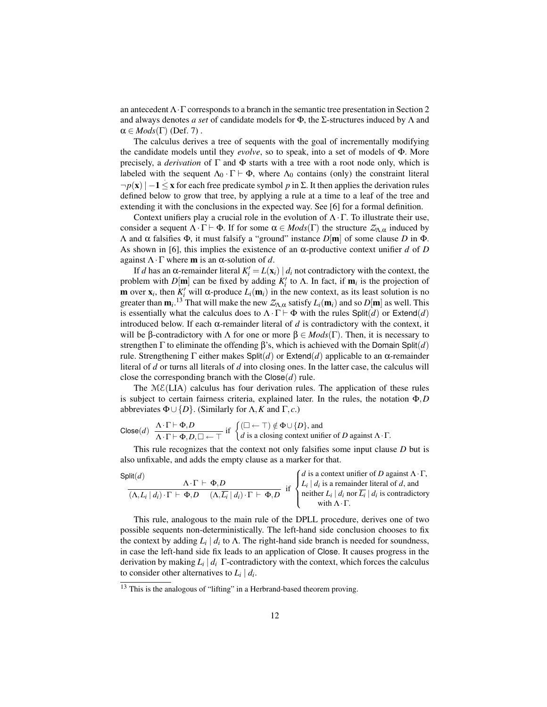an antecedent  $\Lambda \cdot \Gamma$  corresponds to a branch in the semantic tree presentation in Section 2 and always denotes *a set* of candidate models for Φ, the Σ-structures induced by Λ and  $\alpha \in Mod(s(\Gamma)$  (Def. 7).

The calculus derives a tree of sequents with the goal of incrementally modifying the candidate models until they *evolve*, so to speak, into a set of models of Φ. More precisely, a *derivation* of Γ and Φ starts with a tree with a root node only, which is labeled with the sequent  $\Lambda_0 \cdot \Gamma \vdash \Phi$ , where  $\Lambda_0$  contains (only) the constraint literal ¬*p*(x)| −1 ≤ x for each free predicate symbol *p* in Σ. It then applies the derivation rules defined below to grow that tree, by applying a rule at a time to a leaf of the tree and extending it with the conclusions in the expected way. See [6] for a formal definition.

Context unifiers play a crucial role in the evolution of  $\Lambda \cdot \Gamma$ . To illustrate their use, consider a sequent  $\Lambda \cdot \Gamma \vdash \Phi$ . If for some  $\alpha \in Mod(s(\Gamma))$  the structure  $\mathcal{Z}_{\Lambda,\alpha}$  induced by Λ and α falsifies Φ, it must falsify a "ground" instance *D*[m] of some clause *D* in Φ. As shown in [6], this implies the existence of an  $\alpha$ -productive context unifier *d* of *D* against  $\Lambda \cdot \Gamma$  where **m** is an  $\alpha$ -solution of d.

If *d* has an α-remainder literal  $K_i' = L(\mathbf{x}_i) \mid d_i$  not contradictory with the context, the problem with *D*[**m**] can be fixed by adding  $K_i'$  to  $\Lambda$ . In fact, if **m**<sub>*i*</sub> is the projection of **m** over  $\mathbf{x}_i$ , then  $K_i^{\prime}$  will  $\alpha$ -produce  $L_i(\mathbf{m}_i)$  in the new context, as its least solution is no greater than  $\mathbf{m}_i$ .<sup>13</sup> That will make the new  $Z_{\Lambda,\alpha}$  satisfy  $L_i(\mathbf{m}_i)$  and so  $D[\mathbf{m}]$  as well. This is essentially what the calculus does to  $\Lambda \cdot \Gamma \vdash \Phi$  with the rules Split(*d*) or Extend(*d*) introduced below. If each  $\alpha$ -remainder literal of  $d$  is contradictory with the context, it will be β-contradictory with Λ for one or more  $\beta \in Mods(\Gamma)$ . Then, it is necessary to strengthen Γ to eliminate the offending β's, which is achieved with the Domain Split(*d*) rule. Strengthening Γ either makes Split(*d*) or Extend(*d*) applicable to an α-remainder literal of *d* or turns all literals of *d* into closing ones. In the latter case, the calculus will close the corresponding branch with the  $C \text{lose}(d)$  rule.

The  $M\mathcal{E}(LIA)$  calculus has four derivation rules. The application of these rules is subject to certain fairness criteria, explained later. In the rules, the notation Φ,*D* abbreviates  $\Phi \cup \{D\}$ . (Similarly for  $\Lambda$ , K and  $\Gamma$ , c.)

$$
\text{Close}(d) \quad \frac{\Lambda \cdot \Gamma \vdash \Phi, D}{\Lambda \cdot \Gamma \vdash \Phi, D, \Box \leftarrow \top} \text{ if } \begin{cases} (\Box \leftarrow \top) \notin \Phi \cup \{D\}, \text{ and} \\ d \text{ is a closing context unifier of } D \text{ against } \Lambda \cdot \Gamma. \end{cases}
$$

This rule recognizes that the context not only falsifies some input clause *D* but is also unfixable, and adds the empty clause as a marker for that.

Split(*d*)  
\n
$$
\frac{\Lambda \cdot \Gamma \vdash \Phi, D}{(\Lambda, L_i | d_i) \cdot \Gamma \vdash \Phi, D \quad (\Lambda, \overline{L_i} | d_i) \cdot \Gamma \vdash \Phi, D}
$$
\nif  $\begin{cases} d \text{ is a context unifier of } D \text{ against } \Lambda \cdot \Gamma, \\ L_i | d_i \text{ is a remainder literal of } d, \text{ and} \\ \text{neither } L_i | d_i \text{ nor } \overline{L_i} | d_i \text{ is contradictory} \\ \text{with } \Lambda \cdot \Gamma. \end{cases}$ 

This rule, analogous to the main rule of the DPLL procedure, derives one of two possible sequents non-deterministically. The left-hand side conclusion chooses to fix the context by adding  $L_i \, | \, d_i$  to  $\Lambda$ . The right-hand side branch is needed for soundness, in case the left-hand side fix leads to an application of Close. It causes progress in the derivation by making  $L_i | d_i$   $\Gamma$ -contradictory with the context, which forces the calculus to consider other alternatives to  $L_i | d_i$ .

<sup>&</sup>lt;sup>13</sup> This is the analogous of "lifting" in a Herbrand-based theorem proving.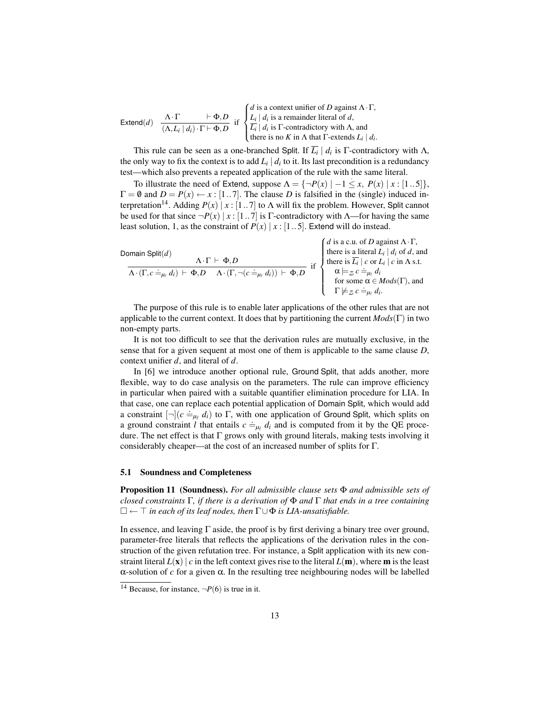Extend(*d*)  $\frac{\Lambda \cdot \Gamma}{\left(\Lambda \cdot \Sigma + \Lambda\right) \cdot \Sigma + \Sigma \cdot \Sigma}$  $(\Lambda, L_i | d_i) \cdot \Gamma \vdash \Phi, D$  if  $\sqrt{ }$  $\int$  $\overline{a}$ *d* is a context unifier of *D* against Λ·Γ,  $L_i \mid d_i$  is a remainder literal of *d*,  $\overline{L_i}$  |  $d_i$  is  $\Gamma$ -contradictory with  $\Lambda$ , and there is no *K* in  $\Lambda$  that  $\Gamma$ -extends  $L_i \mid d_i$ .

This rule can be seen as a one-branched Split. If  $\overline{L_i} \mid d_i$  is  $\Gamma$ -contradictory with  $\Lambda$ , the only way to fix the context is to add  $L_i | d_i$  to it. Its last precondition is a redundancy test—which also prevents a repeated application of the rule with the same literal. .

To illustrate the need of Extend, suppose  $\Lambda = \{\neg P(x) \mid -1 \leq x, P(x) \mid x : [1..5]\},\$  $\Gamma = \emptyset$  and  $D = P(x) \leftarrow x : [1..7]$ . The clause *D* is falsified in the (single) induced interpretation<sup>14</sup>. Adding  $P(x) | x : [1..7]$  to  $\Lambda$  will fix the problem. However, Split cannot be used for that since  $\neg P(x) | x : [1..7]$  is Γ-contradictory with Λ—for having the same least solution, 1, as the constraint of  $P(x) | x : [1..5]$ . Extend will do instead.

 $\lambda$ .

| Domain Split $(d)$                                                                                                                |                                                                                                                                                                                     |
|-----------------------------------------------------------------------------------------------------------------------------------|-------------------------------------------------------------------------------------------------------------------------------------------------------------------------------------|
| $\Lambda \cdot \Gamma \vdash \Phi D$                                                                                              | <i>d</i> is a c.u. of <i>D</i> against $\Lambda \cdot \Gamma$ ,<br>there is a literal $L_i   d_i$ of <i>d</i> , and<br>there is $\overline{L_i}   c$ or $L_i   c$ in $\Lambda$ s.t. |
| $\Lambda\cdot(\Gamma,c\doteq_{\mu_\ell}d_i)\;\vdash\;\Phi,D\quad\Lambda\cdot(\Gamma,\neg(c\doteq_{\mu_\ell}d_i))\;\vdash\;\Phi,D$ | $\alpha \models_{\mathcal{Z}} c =_{\mu_{\ell}} d_i$<br>for some $\alpha \in Mods(\Gamma)$ , and                                                                                     |
|                                                                                                                                   |                                                                                                                                                                                     |
|                                                                                                                                   | $\Gamma \not\models_{\mathcal{Z}} c \doteq_{\mu_{\ell}} d_i.$                                                                                                                       |

The purpose of this rule is to enable later applications of the other rules that are not applicable to the current context. It does that by partitioning the current *Mods*(Γ) in two non-empty parts.

It is not too difficult to see that the derivation rules are mutually exclusive, in the sense that for a given sequent at most one of them is applicable to the same clause *D*, context unifier *d*, and literal of *d*.

In [6] we introduce another optional rule, Ground Split, that adds another, more flexible, way to do case analysis on the parameters. The rule can improve efficiency in particular when paired with a suitable quantifier elimination procedure for LIA. In that case, one can replace each potential application of Domain Split, which would add a constraint  $[\neg](c \neq_{\mu} d_i)$  to  $\Gamma$ , with one application of Ground Split, which splits on a ground constraint *l* that entails  $c =_{\mu_{\ell}} d_i$  and is computed from it by the QE procedure. The net effect is that  $\Gamma$  grows only with ground literals, making tests involving it considerably cheaper—at the cost of an increased number of splits for Γ.

### 5.1 Soundness and Completeness

Proposition 11 (Soundness). *For all admissible clause sets* Φ *and admissible sets of closed constraints* Γ*, if there is a derivation of* Φ *and* Γ *that ends in a tree containing* ← > *in each of its leaf nodes, then* Γ∪Φ *is LIA-unsatisfiable.*

In essence, and leaving  $\Gamma$  aside, the proof is by first deriving a binary tree over ground, parameter-free literals that reflects the applications of the derivation rules in the construction of the given refutation tree. For instance, a Split application with its new constraint literal  $L(x)$  *c* in the left context gives rise to the literal  $L(m)$ , where **m** is the least α-solution of *c* for a given α. In the resulting tree neighbouring nodes will be labelled

<sup>&</sup>lt;sup>14</sup> Because, for instance,  $\neg P(6)$  is true in it.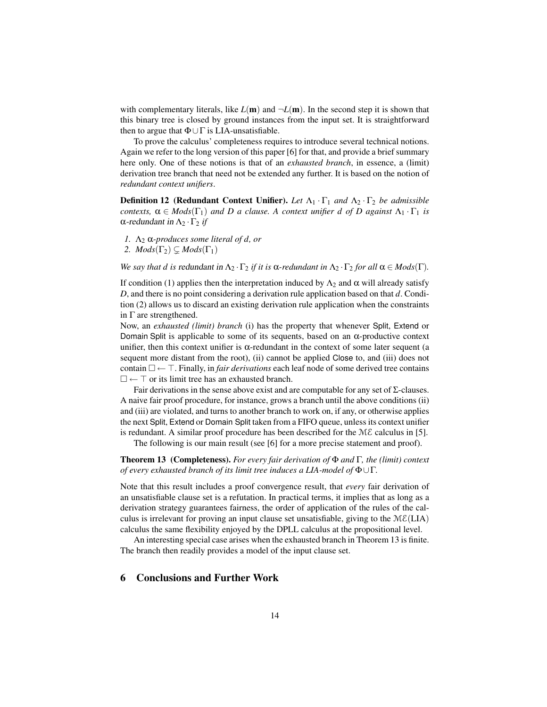with complementary literals, like  $L(\mathbf{m})$  and  $\neg L(\mathbf{m})$ . In the second step it is shown that this binary tree is closed by ground instances from the input set. It is straightforward then to argue that  $\Phi \cup \Gamma$  is LIA-unsatisfiable.

To prove the calculus' completeness requires to introduce several technical notions. Again we refer to the long version of this paper [6] for that, and provide a brief summary here only. One of these notions is that of an *exhausted branch*, in essence, a (limit) derivation tree branch that need not be extended any further. It is based on the notion of *redundant context unifiers*.

Definition 12 (Redundant Context Unifier). *Let* Λ<sup>1</sup> · Γ<sup>1</sup> *and* Λ<sup>2</sup> · Γ<sup>2</sup> *be admissible contexts,*  $\alpha \in Mods(\Gamma_1)$  *and D a clause.* A *context unifier d of D against*  $\Lambda_1 \cdot \Gamma_1$  *is* α-redundant in  $Λ_2 \cdot Γ_2$  *if* 

*1.* Λ<sup>2</sup> α*-produces some literal of d, or*

2.  $Mods(\Gamma_2) \subseteq Mods(\Gamma_1)$ 

*We say that d is redundant in*  $\Lambda_2 \cdot \Gamma_2$  *if it is*  $\alpha$ *-redundant in*  $\Lambda_2 \cdot \Gamma_2$  *for all*  $\alpha \in Mod(s(\Gamma))$ *.* 

If condition (1) applies then the interpretation induced by  $Λ_2$  and α will already satisfy *D*, and there is no point considering a derivation rule application based on that *d*. Condition (2) allows us to discard an existing derivation rule application when the constraints in Γ are strengthened.

Now, an *exhausted (limit) branch* (i) has the property that whenever Split, Extend or Domain Split is applicable to some of its sequents, based on an α-productive context unifier, then this context unifier is  $\alpha$ -redundant in the context of some later sequent (a sequent more distant from the root), (ii) cannot be applied Close to, and (iii) does not contain  $\square \leftarrow \top$ . Finally, in *fair derivations* each leaf node of some derived tree contains  $\square \leftarrow \top$  or its limit tree has an exhausted branch.

Fair derivations in the sense above exist and are computable for any set of  $\Sigma$ -clauses. A naive fair proof procedure, for instance, grows a branch until the above conditions (ii) and (iii) are violated, and turns to another branch to work on, if any, or otherwise applies the next Split, Extend or Domain Split taken from a FIFO queue, unless its context unifier is redundant. A similar proof procedure has been described for the  $M\mathcal{E}$  calculus in [5].

The following is our main result (see [6] for a more precise statement and proof).

Theorem 13 (Completeness). *For every fair derivation of* Φ *and* Γ*, the (limit) context of every exhausted branch of its limit tree induces a LIA-model of* Φ∪Γ*.*

Note that this result includes a proof convergence result, that *every* fair derivation of an unsatisfiable clause set is a refutation. In practical terms, it implies that as long as a derivation strategy guarantees fairness, the order of application of the rules of the calculus is irrelevant for proving an input clause set unsatisfiable, giving to the  $M\mathcal{E}(LIA)$ calculus the same flexibility enjoyed by the DPLL calculus at the propositional level.

An interesting special case arises when the exhausted branch in Theorem 13 is finite. The branch then readily provides a model of the input clause set.

### 6 Conclusions and Further Work